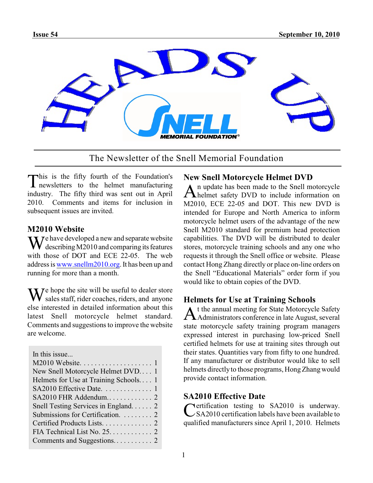

The Newsletter of the Snell Memorial Foundation

This is the fifty fourth of the Foundation's<br>
newsletters to the helmet manufacturing **I** newsletters to the helmet manufacturing industry. The fifty third was sent out in April 2010. Comments and items for inclusion in subsequent issues are invited.

**M2010 Website**<br>**T** *J e* have developed a new and separate website We have developed a new and separate website<br>describing M2010 and comparing its features with those of DOT and ECE 22-05. The web address is [www.snellm2010.org](http://www.Snellm2010.org). It has been up and running for more than a month.

We hope the site will be useful to dealer store<br>sales staff, rider coaches, riders, and anyone else interested in detailed information about this latest Snell motorcycle helmet standard. Comments and suggestions to improve the website are welcome.

| In this issue                         |
|---------------------------------------|
|                                       |
| New Snell Motorcycle Helmet DVD 1     |
| Helmets for Use at Training Schools 1 |
| SA2010 Effective Date. 1              |
| SA2010 FHR Addendum 2                 |
| Snell Testing Services in England 2   |
| Submissions for Certification. 2      |
| Certified Products Lists. 2           |
|                                       |
|                                       |

# **New Snell Motorcycle Helmet DVD**

An update has been made to the Snell motorcycle<br>helmet safety DVD to include information on n update has been made to the Snell motorcycle M2010, ECE 22-05 and DOT. This new DVD is intended for Europe and North America to inform motorcycle helmet users of the advantage of the new Snell M2010 standard for premium head protection capabilities. The DVD will be distributed to dealer stores, motorcycle training schools and any one who requests it through the Snell office or website. Please contact Hong Zhang directly or place on-line orders on the Snell "Educational Materials" order form if you would like to obtain copies of the DVD.

# **Helmets for Use at Training Schools**

A Administrators conference in late August, several t the annual meeting for State Motorcycle Safety state motorcycle safety training program managers expressed interest in purchasing low-priced Snell certified helmets for use at training sites through out their states. Quantities vary from fifty to one hundred. If any manufacturer or distributor would like to sell helmets directly to those programs, HongZhang would provide contact information.

# **SA2010 Effective Date**

Certification testing to SA2010 is underway.<br>CSA2010 certification labels have been available to Nertification testing to SA2010 is underway. qualified manufacturers since April 1, 2010. Helmets